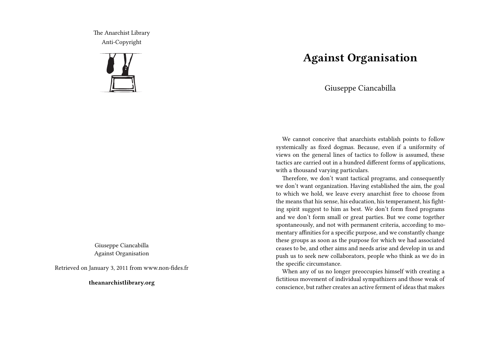The Anarchist Library Anti-Copyright



Giuseppe Ciancabilla Against Organisation

Retrieved on January 3, 2011 from www.non-fides.fr

**theanarchistlibrary.org**

## **Against Organisation**

Giuseppe Ciancabilla

We cannot conceive that anarchists establish points to follow systemically as fixed dogmas. Because, even if a uniformity of views on the general lines of tactics to follow is assumed, these tactics are carried out in a hundred different forms of applications, with a thousand varying particulars.

Therefore, we don't want tactical programs, and consequently we don't want organization. Having established the aim, the goal to which we hold, we leave every anarchist free to choose from the means that his sense, his education, his temperament, his fighting spirit suggest to him as best. We don't form fixed programs and we don't form small or great parties. But we come together spontaneously, and not with permanent criteria, according to momentary affinities for a specific purpose, and we constantly change these groups as soon as the purpose for which we had associated ceases to be, and other aims and needs arise and develop in us and push us to seek new collaborators, people who think as we do in the specific circumstance.

When any of us no longer preoccupies himself with creating a fictitious movement of individual sympathizers and those weak of conscience, but rather creates an active ferment of ideas that makes